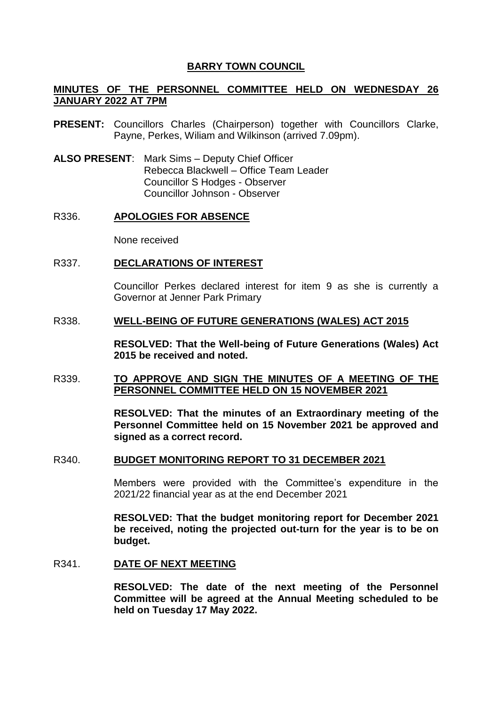# **BARRY TOWN COUNCIL**

# **MINUTES OF THE PERSONNEL COMMITTEE HELD ON WEDNESDAY 26 JANUARY 2022 AT 7PM**

- **PRESENT:** Councillors Charles (Chairperson) together with Councillors Clarke, Payne, Perkes, Wiliam and Wilkinson (arrived 7.09pm).
- **ALSO PRESENT**: Mark Sims Deputy Chief Officer Rebecca Blackwell – Office Team Leader Councillor S Hodges - Observer Councillor Johnson - Observer

#### R336. **APOLOGIES FOR ABSENCE**

None received

#### R337. **DECLARATIONS OF INTEREST**

Councillor Perkes declared interest for item 9 as she is currently a Governor at Jenner Park Primary

## R338. **WELL-BEING OF FUTURE GENERATIONS (WALES) ACT 2015**

**RESOLVED: That the Well-being of Future Generations (Wales) Act 2015 be received and noted.**

## R339. **TO APPROVE AND SIGN THE MINUTES OF A MEETING OF THE PERSONNEL COMMITTEE HELD ON 15 NOVEMBER 2021**

**RESOLVED: That the minutes of an Extraordinary meeting of the Personnel Committee held on 15 November 2021 be approved and signed as a correct record.** 

#### R340. **BUDGET MONITORING REPORT TO 31 DECEMBER 2021**

Members were provided with the Committee's expenditure in the 2021/22 financial year as at the end December 2021

**RESOLVED: That the budget monitoring report for December 2021 be received, noting the projected out-turn for the year is to be on budget.** 

#### R341. **DATE OF NEXT MEETING**

**RESOLVED: The date of the next meeting of the Personnel Committee will be agreed at the Annual Meeting scheduled to be held on Tuesday 17 May 2022.**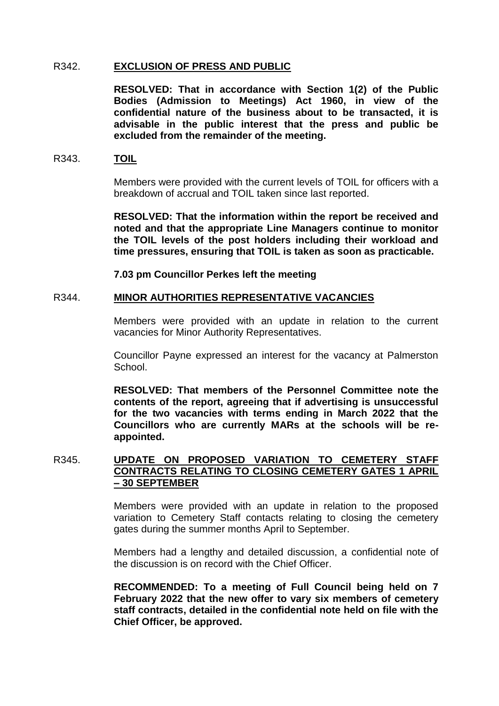## R342. **EXCLUSION OF PRESS AND PUBLIC**

**RESOLVED: That in accordance with Section 1(2) of the Public Bodies (Admission to Meetings) Act 1960, in view of the confidential nature of the business about to be transacted, it is advisable in the public interest that the press and public be excluded from the remainder of the meeting.** 

## R343. **TOIL**

Members were provided with the current levels of TOIL for officers with a breakdown of accrual and TOIL taken since last reported.

**RESOLVED: That the information within the report be received and noted and that the appropriate Line Managers continue to monitor the TOIL levels of the post holders including their workload and time pressures, ensuring that TOIL is taken as soon as practicable.** 

**7.03 pm Councillor Perkes left the meeting** 

# R344. **MINOR AUTHORITIES REPRESENTATIVE VACANCIES**

Members were provided with an update in relation to the current vacancies for Minor Authority Representatives.

Councillor Payne expressed an interest for the vacancy at Palmerston School.

**RESOLVED: That members of the Personnel Committee note the contents of the report, agreeing that if advertising is unsuccessful for the two vacancies with terms ending in March 2022 that the Councillors who are currently MARs at the schools will be reappointed.** 

## R345. **UPDATE ON PROPOSED VARIATION TO CEMETERY STAFF CONTRACTS RELATING TO CLOSING CEMETERY GATES 1 APRIL – 30 SEPTEMBER**

Members were provided with an update in relation to the proposed variation to Cemetery Staff contacts relating to closing the cemetery gates during the summer months April to September.

Members had a lengthy and detailed discussion, a confidential note of the discussion is on record with the Chief Officer.

**RECOMMENDED: To a meeting of Full Council being held on 7 February 2022 that the new offer to vary six members of cemetery staff contracts, detailed in the confidential note held on file with the Chief Officer, be approved.**